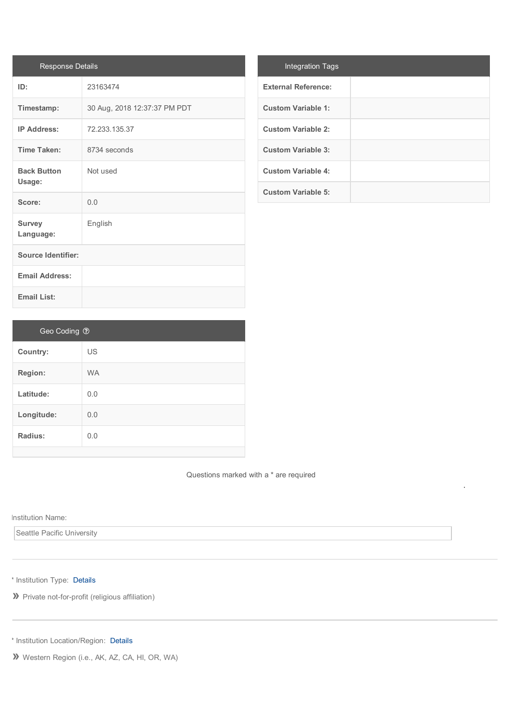| <b>Response Details</b>      |                              |
|------------------------------|------------------------------|
| ID:                          | 23163474                     |
| Timestamp:                   | 30 Aug, 2018 12:37:37 PM PDT |
| <b>IP Address:</b>           | 72.233.135.37                |
| <b>Time Taken:</b>           | 8734 seconds                 |
| <b>Back Button</b><br>Usage: | Not used                     |
| Score:                       | 0.0                          |
| <b>Survey</b><br>Language:   | English                      |
| <b>Source Identifier:</b>    |                              |
| <b>Email Address:</b>        |                              |
| <b>Email List:</b>           |                              |

| <b>Integration Tags</b>    |  |
|----------------------------|--|
| <b>External Reference:</b> |  |
| <b>Custom Variable 1:</b>  |  |
| <b>Custom Variable 2:</b>  |  |
| <b>Custom Variable 3:</b>  |  |
| <b>Custom Variable 4:</b>  |  |
| <b>Custom Variable 5:</b>  |  |

| Geo Coding ? |           |
|--------------|-----------|
| Country:     | <b>US</b> |
| Region:      | <b>WA</b> |
| Latitude:    | 0.0       |
| Longitude:   | 0.0       |
| Radius:      | 0.0       |
|              |           |

Questions marked with a \* are required This survey is to be completed by all  $C$ -accredited programs and must be submitted by September 18, 2018.

## Institution Name:

Seattle Pacific University

\* Institution Type: [Details](javascript:ajaxInlinePopup()

**»** Private not-for-profit (religious affiliation)

\* Institution Location/Region: [Details](javascript:ajaxInlinePopup()

**»** Western Region (i.e., AK, AZ, CA, HI, OR, WA)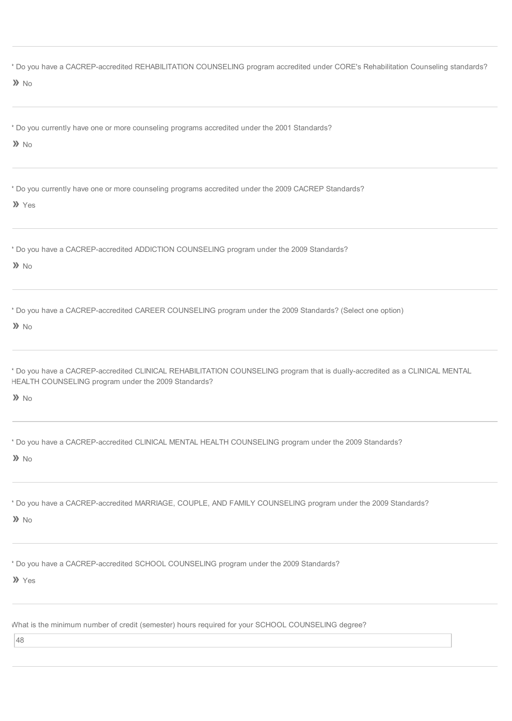| * Do you have a CACREP-accredited REHABILITATION COUNSELING program accredited under CORE's Rehabilitation Counseling standards?<br>$\lambda$ No                                                   |
|----------------------------------------------------------------------------------------------------------------------------------------------------------------------------------------------------|
| * Do you currently have one or more counseling programs accredited under the 2001 Standards?<br>$\lambda$ No                                                                                       |
| * Do you currently have one or more counseling programs accredited under the 2009 CACREP Standards?<br>>> Yes                                                                                      |
| * Do you have a CACREP-accredited ADDICTION COUNSELING program under the 2009 Standards?<br>$\lambda$ No                                                                                           |
| * Do you have a CACREP-accredited CAREER COUNSELING program under the 2009 Standards? (Select one option)<br>$\lambda$ No                                                                          |
| * Do you have a CACREP-accredited CLINICAL REHABILITATION COUNSELING program that is dually-accredited as a CLINICAL MENTAL<br>HEALTH COUNSELING program under the 2009 Standards?<br>$\lambda$ No |
| bo you have a CACREP-accredited CLINICAL MENTAL HEALTH COUNSELING program under the 2009 Standards?<br>$\lambda$ No                                                                                |
| * Do you have a CACREP-accredited MARRIAGE, COUPLE, AND FAMILY COUNSELING program under the 2009 Standards?<br>$\lambda$ No                                                                        |
| * Do you have a CACREP-accredited SCHOOL COUNSELING program under the 2009 Standards?<br>>> Yes                                                                                                    |
| What is the minimum number of credit (semester) hours required for your SCHOOL COUNSELING degree?<br>48                                                                                            |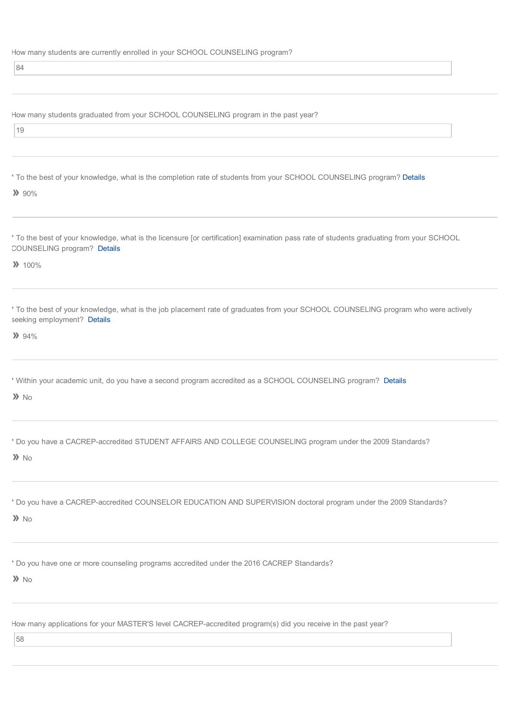How many students are currently enrolled in your SCHOOL COUNSELING program?

84

How many students graduated from your SCHOOL COUNSELING program in the past year?

 $|19$ 

\* To the best of your knowledge, what is the completion rate of students from your SCHOOL COUNSELING program? [Details](javascript:ajaxInlinePopup()

 $\lambda$  90%

\* To the best of your knowledge, what is the licensure [or certification] examination pass rate of students graduating from your SCHOOL COUNSELING program? [Details](javascript:ajaxInlinePopup()

**»** 100%

\* To the best of your knowledge, what is the job placement rate of graduates from your SCHOOL COUNSELING program who were actively seeking employment? [Details](javascript:ajaxInlinePopup()

**»** 94%

\* Within your academic unit, do you have a second program accredited as a SCHOOL COUNSELING program? [Details](javascript:ajaxInlinePopup()

**»** No

\* Do you have a CACREP-accredited STUDENT AFFAIRS AND COLLEGE COUNSELING program under the 2009 Standards?

**»** No

\* Do you have a CACREP-accredited COUNSELOR EDUCATION AND SUPERVISION doctoral program under the 2009 Standards?

**»** No

\* Do you have one or more counseling programs accredited under the 2016 CACREP Standards?

**»** No

How many applications for your MASTER'S level CACREP-accredited program(s) did you receive in the past year?

58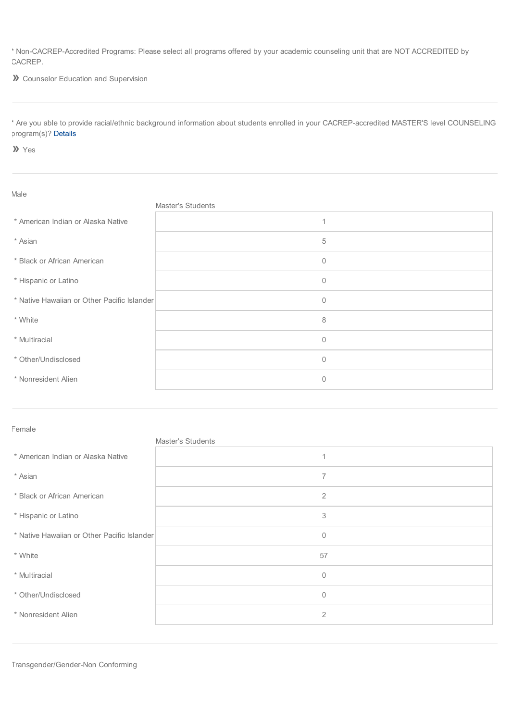\* Non-CACREP-Accredited Programs: Please select all programs offered by your academic counseling unit that are NOT ACCREDITED by CACREP.

**»** Counselor Education and Supervision

\* Are you able to provide racial/ethnic background information about students enrolled in your CACREP-accredited MASTER'S level COUNSELING program(s)? [Details](javascript:ajaxInlinePopup()

**»** Yes

| Male                                        |                   |
|---------------------------------------------|-------------------|
|                                             | Master's Students |
| * American Indian or Alaska Native          | 1                 |
| * Asian                                     | 5                 |
| * Black or African American                 | $\mathbf{0}$      |
| * Hispanic or Latino                        | $\mathbf 0$       |
| * Native Hawaiian or Other Pacific Islander | $\mathbf 0$       |
| * White                                     | 8                 |
| * Multiracial                               | 0                 |
| * Other/Undisclosed                         | $\mathbf 0$       |
| * Nonresident Alien                         | $\mathbf{0}$      |

Female

|                                             | Master's Students |
|---------------------------------------------|-------------------|
| * American Indian or Alaska Native          | $\overline{1}$    |
| * Asian                                     | $\overline{7}$    |
| * Black or African American                 | $\overline{2}$    |
| * Hispanic or Latino                        | 3                 |
| * Native Hawaiian or Other Pacific Islander | $\mathbf{0}$      |
| * White                                     | 57                |
| * Multiracial                               | $\mathbf{0}$      |
| * Other/Undisclosed                         | $\mathbf 0$       |
| * Nonresident Alien                         | $\overline{2}$    |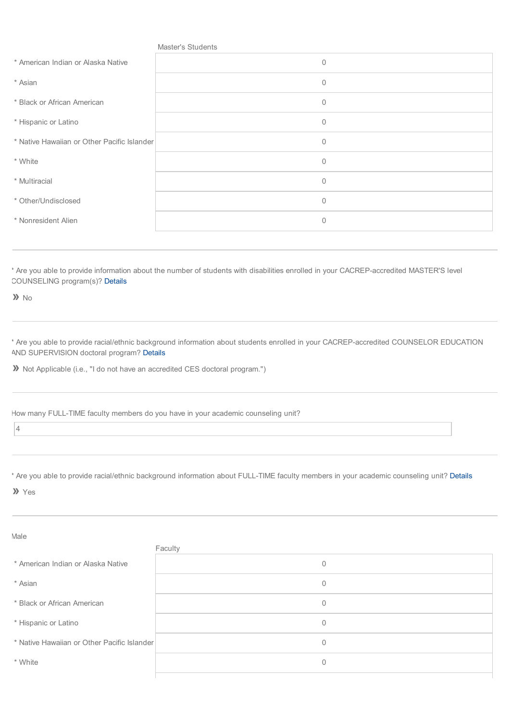|                                             | Master's Students |
|---------------------------------------------|-------------------|
| * American Indian or Alaska Native          | $\mathbf 0$       |
| * Asian                                     | $\mathbf 0$       |
| * Black or African American                 | $\mathbf 0$       |
| * Hispanic or Latino                        | $\mathbb O$       |
| * Native Hawaiian or Other Pacific Islander | $\mathbf 0$       |
| * White                                     | $\mathbf 0$       |
| * Multiracial                               | $\mathbf 0$       |
| * Other/Undisclosed                         | $\mathbf{0}$      |
| * Nonresident Alien                         | $\mathbf 0$       |
|                                             |                   |

\* Are you able to provide information about the number of students with disabilities enrolled in your CACREP-accredited MASTER'S level COUNSELING program(s)? [Details](javascript:ajaxInlinePopup()

**»** No

\* Are you able to provide racial/ethnic background information about students enrolled in your CACREP-accredited COUNSELOR EDUCATION AND SUPERVISION doctoral program? [Details](javascript:ajaxInlinePopup()

**»** Not Applicable (i.e., "I do not have an accredited CES doctoral program.")

How many FULL-TIME faculty members do you have in your academic counseling unit?

4

\* Are you able to provide racial/ethnic background information about FULL-TIME faculty members in your academic counseling unit? [Details](javascript:ajaxInlinePopup()

**»** Yes

Male Faculty \* American Indian or Alaska Native 0  $*$  Asian 0 \* Black or African American 0 \* Hispanic or Latino 0 \* Native Hawaiian or Other Pacific Islander 0  $^*$  White  $^0$